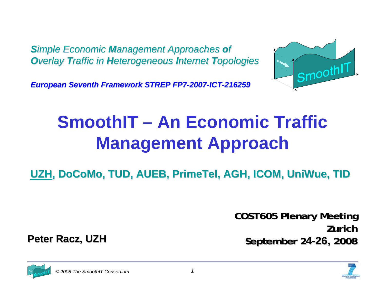**Simple Economic Management Approaches of** *Overlay Traffic in Heterogeneous Internet Topologies* 



*European Seventh Framework STREP FP7 European Seventh Framework STREP FP7-2007-ICT-216259*

## **SmoothIT – An Economic Traffic Management Approach**

UZH, DoCoMo, TUD, AUEB, PrimeTel, AGH, ICOM, UniWue, TID

**COST605 Plenary Meeting COST605 Plenary Meeting ZurichSeptember 2 September 24-26, 2008**



**Peter Racz, UZH**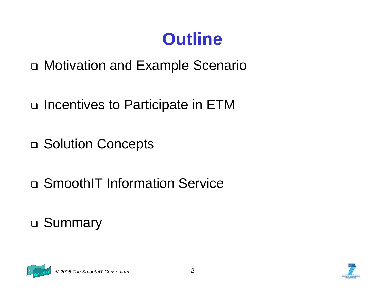### **Outline**

- Motivation and Example Scenario
- □ Incentives to Participate in ETM
- □ Solution Concepts
- □ SmoothIT Information Service

### Summary

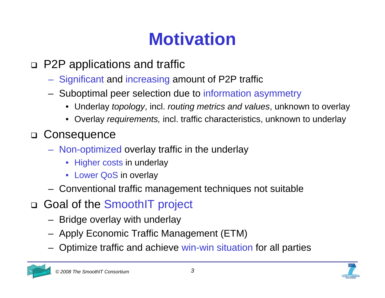## **Motivation**

#### P2P applications and traffic

- –Significant and increasing amount of P2P traffic
- – Suboptimal peer selection due to information asymmetry
	- Underlay *topology*, incl. *routing metrics and values*, unknown to overlay
	- Overlay *requirements,* incl. traffic characteristics, unknown to underlay

#### Consequence

- – Non-optimized overlay traffic in the underlay
	- Higher costs in underlay
	- Lower QoS in overlay
- –Conventional traffic management techniques not suitable
- □ Goal of the SmoothIT project
	- –Bridge overlay with underlay
	- –Apply Economic Traffic Management (ETM)
	- –Optimize traffic and achieve win-win situation for all parties

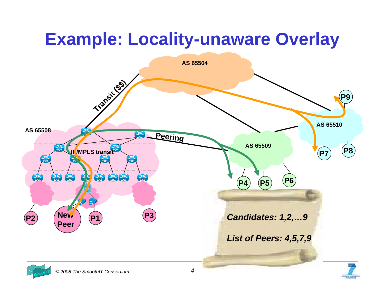## **Example: Locality-unaware Overlay**

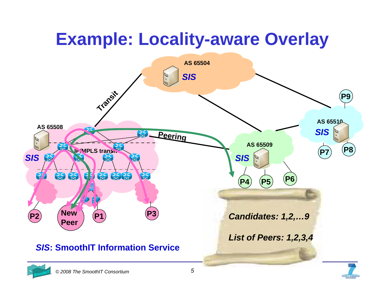## **Example: Locality-aware Overlay**

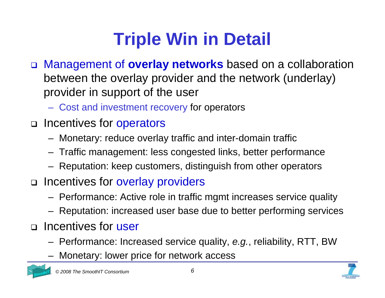# **Triple Win in Detail**

- Management of **overlay networks** based on a collaboration between the overlay provider and the network (underlay) provider in support of the user
	- $\mathcal{L}_{\mathcal{A}}$  , and the set of the set of the set of the set of the set of the set of the set of the set of the set of the set of the set of the set of the set of the set of the set of the set of the set of the set of th Cost and investment recovery for operators
- □ Incentives for operators
	- –Monetary: reduce overlay traffic and inter-domain traffic
	- –Traffic management: less congested links, better performance
	- –Reputation: keep customers, distinguish from other operators
- □ Incentives for overlay providers
	- –Performance: Active role in traffic mgmt increases service quality
	- –Reputation: increased user base due to better performing services
- □ Incentives for user
	- –Performance: Increased service quality, *e.g.*, reliability, RTT, BW
	- –Monetary: lower price for network access





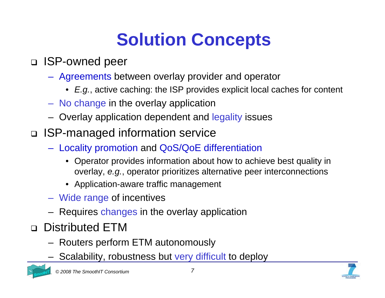## **Solution Concepts**

#### ISP-owned peer

- $\mathcal{L}_{\mathcal{A}}$  , and the set of  $\mathcal{L}_{\mathcal{A}}$  Agreements between overlay provider and operator
	- *E.g.*, active caching: the ISP provides explicit local caches for content
- No change in the overlay application
- –Overlay application dependent and legality issues
- ISP-managed information service
	- <del>Jan Karl II.</del><br>Vyhy tysy Locality promotion and QoS/QoE differentiation
		- • Operator provides information about how to achieve best quality in overlay, *e.g.*, operator prioritizes alternative peer interconnections
		- Application-aware traffic management
	- –Wide range of incentives
	- –Requires changes in the overlay application
- Distributed ETM
	- –Routers perform ETM autonomously
	- –Scalability, robustness but very difficult to deploy

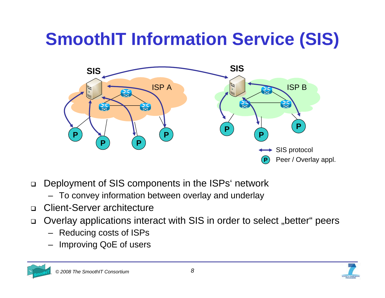# **SmoothIT Information Service (SIS)**



- $\Box$  Deployment of SIS components in the ISPs' network
	- To convey information between overlay and underlay
- $\Box$ Client-Server architecture
- $\Box$ Overlay applications interact with SIS in order to select "better" peers
	- Reducing costs of ISPs
	- Improving QoE of users

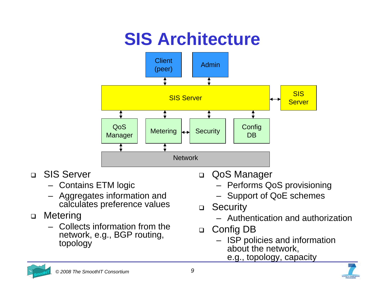## **SIS Architecture**



- $\Box$  SIS Server
	- Contains ETM logic
	- Aggregates information and calculates preference values
- $\Box$  Metering
	- Collects information from the network, e.g., BGP routing, topology
- QoS Manager
	- Performs QoS provisioning
	- Support of QoE schemes
- $\Box$ **Security** 
	- Authentication and authorization
- $\Box$  Config DB
	- ISP policies and information about the network,
		- e.g., topology, capacity



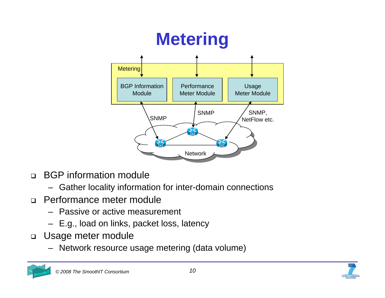

- $\Box$  BGP information module
	- Gather locality information for inter-domain connections
- $\Box$  Performance meter module
	- Passive or active measurement
	- E.g., load on links, packet loss, latency
- $\Box$  Usage meter module
	- Network resource usage metering (data volume)

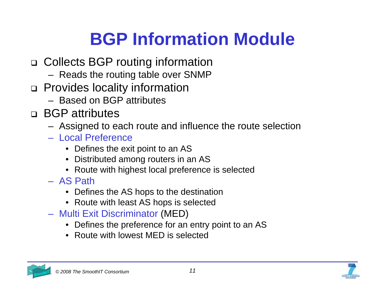## **BGP Information Module**

- Collects BGP routing information
	- –Reads the routing table over SNMP
- □ Provides locality information
	- Based on BGP attributes
- BGP attributes
	- –Assigned to each route and influence the route selection
	- Local Preference
		- Defines the exit point to an AS
		- Distributed among routers in an AS
		- Route with highest local preference is selected
	- AS Path
		- Defines the AS hops to the destination
		- Route with least AS hops is selected
	- Multi Exit Discriminator (MED)
		- Defines the preference for an entry point to an AS
		- Route with lowest MED is selected

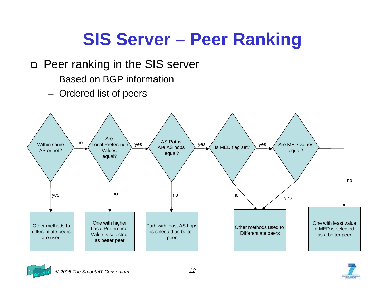### **SIS Server – Peer Ranking**

#### □ Peer ranking in the SIS server

- Based on BGP information
- –Ordered list of peers



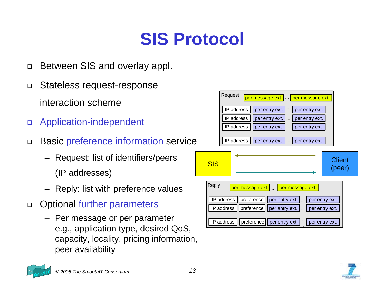## **SIS Protocol**

- $\Box$ Between SIS and overlay appl.
- $\Box$  Stateless request-response interaction scheme
- $\Box$ Application-independent
- $\Box$  Basic preference information service
	- Request: list of identifiers/peers (IP addresses)
	- Reply: list with preference values
- $\Box$  Optional further parameters
	- Per message or per parameter e.g., application type, desired QoS, capacity, locality, pricing information, peer availability



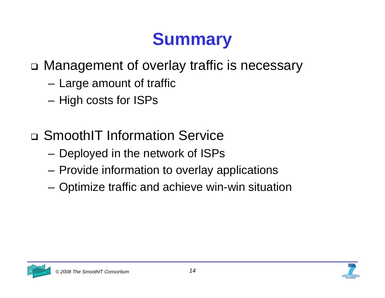### **Summary**

### Management of overlay traffic is necessary

- –Large amount of traffic
- –High costs for ISPs
- □ SmoothIT Information Service
	- –Deployed in the network of ISPs
	- –Provide information to overlay applications
	- –Optimize traffic and achieve win-win situation